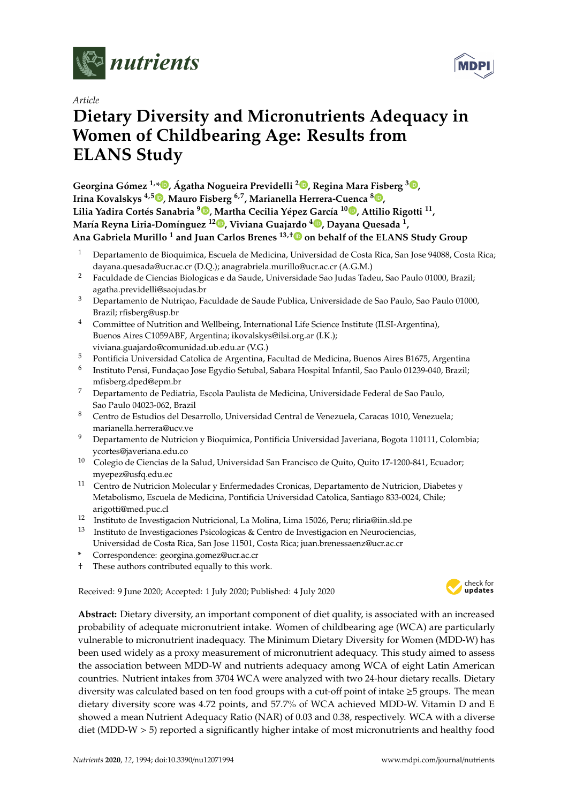

*Article*

# **Dietary Diversity and Micronutrients Adequacy in Women of Childbearing Age: Results from ELANS Study**

**Georgina Gómez 1,\* [,](https://orcid.org/0000-0003-3514-2984) Ágatha Nogueira Previdelli <sup>2</sup> [,](https://orcid.org/0000-0003-0032-4323) Regina Mara Fisberg <sup>3</sup> [,](https://orcid.org/0000-0002-4490-9035) Irina Kovalskys 4,5 [,](https://orcid.org/0000-0001-8481-5415) Mauro Fisberg 6,7, Marianella Herrera-Cuenca [8](https://orcid.org/0000-0003-0162-3480) , Lilia Yadira Cortés Sanabria <sup>9</sup> [,](https://orcid.org/0000-0003-2789-3219) Martha Cecilia Yépez García <sup>10</sup> [,](https://orcid.org/0000-0003-4119-238X) Attilio Rigotti <sup>11</sup> , María Reyna Liria-Domínguez <sup>12</sup> [,](https://orcid.org/0000-0002-5637-1519) Viviana Guajardo <sup>4</sup> [,](https://orcid.org/0000-0001-6629-9891) Dayana Quesada <sup>1</sup> , Ana Gabriela Murillo <sup>1</sup> and Juan Carlos Brenes 13,**[†](https://orcid.org/0000-0003-3746-7272) **on behalf of the ELANS Study Group**

- <sup>1</sup> Departamento de Bioquimica, Escuela de Medicina, Universidad de Costa Rica, San Jose 94088, Costa Rica; dayana.quesada@ucr.ac.cr (D.Q.); anagrabriela.murillo@ucr.ac.cr (A.G.M.)
- <sup>2</sup> Faculdade de Ciencias Biologicas e da Saude, Universidade Sao Judas Tadeu, Sao Paulo 01000, Brazil; agatha.previdelli@saojudas.br
- <sup>3</sup> Departamento de Nutriçao, Faculdade de Saude Publica, Universidade de Sao Paulo, Sao Paulo 01000, Brazil; rfisberg@usp.br
- <sup>4</sup> Committee of Nutrition and Wellbeing, International Life Science Institute (ILSI-Argentina), Buenos Aires C1059ABF, Argentina; ikovalskys@ilsi.org.ar (I.K.); viviana.guajardo@comunidad.ub.edu.ar (V.G.)
- <sup>5</sup> Pontificia Universidad Catolica de Argentina, Facultad de Medicina, Buenos Aires B1675, Argentina
- 6 Instituto Pensi, Fundaçao Jose Egydio Setubal, Sabara Hospital Infantil, Sao Paulo 01239-040, Brazil; mfisberg.dped@epm.br
- <sup>7</sup> Departamento de Pediatria, Escola Paulista de Medicina, Universidade Federal de Sao Paulo, Sao Paulo 04023-062, Brazil
- <sup>8</sup> Centro de Estudios del Desarrollo, Universidad Central de Venezuela, Caracas 1010, Venezuela; marianella.herrera@ucv.ve
- <sup>9</sup> Departamento de Nutricion y Bioquimica, Pontificia Universidad Javeriana, Bogota 110111, Colombia; ycortes@javeriana.edu.co
- <sup>10</sup> Colegio de Ciencias de la Salud, Universidad San Francisco de Quito, Quito 17-1200-841, Ecuador; myepez@usfq.edu.ec
- <sup>11</sup> Centro de Nutricion Molecular y Enfermedades Cronicas, Departamento de Nutricion, Diabetes y Metabolismo, Escuela de Medicina, Pontificia Universidad Catolica, Santiago 833-0024, Chile; arigotti@med.puc.cl
- <sup>12</sup> Instituto de Investigacion Nutricional, La Molina, Lima 15026, Peru; rliria@iin.sld.pe
- <sup>13</sup> Instituto de Investigaciones Psicologicas & Centro de Investigacion en Neurociencias, Universidad de Costa Rica, San Jose 11501, Costa Rica; juan.brenessaenz@ucr.ac.cr
- **\*** Correspondence: georgina.gomez@ucr.ac.cr
- † These authors contributed equally to this work.

Received: 9 June 2020; Accepted: 1 July 2020; Published: 4 July 2020



**Abstract:** Dietary diversity, an important component of diet quality, is associated with an increased probability of adequate micronutrient intake. Women of childbearing age (WCA) are particularly vulnerable to micronutrient inadequacy. The Minimum Dietary Diversity for Women (MDD-W) has been used widely as a proxy measurement of micronutrient adequacy. This study aimed to assess the association between MDD-W and nutrients adequacy among WCA of eight Latin American countries. Nutrient intakes from 3704 WCA were analyzed with two 24-hour dietary recalls. Dietary diversity was calculated based on ten food groups with a cut-off point of intake ≥5 groups. The mean dietary diversity score was 4.72 points, and 57.7% of WCA achieved MDD-W. Vitamin D and E showed a mean Nutrient Adequacy Ratio (NAR) of 0.03 and 0.38, respectively. WCA with a diverse diet (MDD-W > 5) reported a significantly higher intake of most micronutrients and healthy food

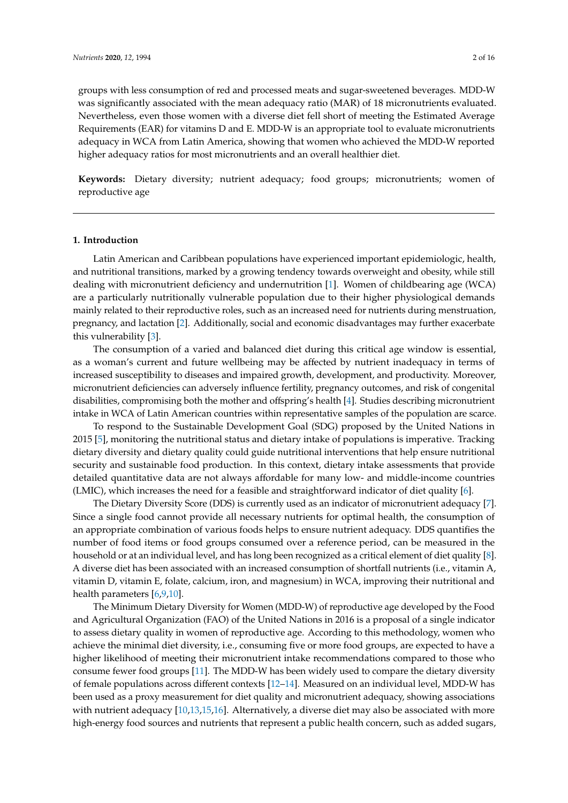groups with less consumption of red and processed meats and sugar-sweetened beverages. MDD-W was significantly associated with the mean adequacy ratio (MAR) of 18 micronutrients evaluated. Nevertheless, even those women with a diverse diet fell short of meeting the Estimated Average Requirements (EAR) for vitamins D and E. MDD-W is an appropriate tool to evaluate micronutrients adequacy in WCA from Latin America, showing that women who achieved the MDD-W reported higher adequacy ratios for most micronutrients and an overall healthier diet.

**Keywords:** Dietary diversity; nutrient adequacy; food groups; micronutrients; women of reproductive age

## **1. Introduction**

Latin American and Caribbean populations have experienced important epidemiologic, health, and nutritional transitions, marked by a growing tendency towards overweight and obesity, while still dealing with micronutrient deficiency and undernutrition [\[1\]](#page-12-0). Women of childbearing age (WCA) are a particularly nutritionally vulnerable population due to their higher physiological demands mainly related to their reproductive roles, such as an increased need for nutrients during menstruation, pregnancy, and lactation [\[2\]](#page-12-1). Additionally, social and economic disadvantages may further exacerbate this vulnerability [\[3\]](#page-12-2).

The consumption of a varied and balanced diet during this critical age window is essential, as a woman's current and future wellbeing may be affected by nutrient inadequacy in terms of increased susceptibility to diseases and impaired growth, development, and productivity. Moreover, micronutrient deficiencies can adversely influence fertility, pregnancy outcomes, and risk of congenital disabilities, compromising both the mother and offspring's health [\[4\]](#page-12-3). Studies describing micronutrient intake in WCA of Latin American countries within representative samples of the population are scarce.

To respond to the Sustainable Development Goal (SDG) proposed by the United Nations in 2015 [\[5\]](#page-13-0), monitoring the nutritional status and dietary intake of populations is imperative. Tracking dietary diversity and dietary quality could guide nutritional interventions that help ensure nutritional security and sustainable food production. In this context, dietary intake assessments that provide detailed quantitative data are not always affordable for many low- and middle-income countries (LMIC), which increases the need for a feasible and straightforward indicator of diet quality [\[6\]](#page-13-1).

The Dietary Diversity Score (DDS) is currently used as an indicator of micronutrient adequacy [\[7\]](#page-13-2). Since a single food cannot provide all necessary nutrients for optimal health, the consumption of an appropriate combination of various foods helps to ensure nutrient adequacy. DDS quantifies the number of food items or food groups consumed over a reference period, can be measured in the household or at an individual level, and has long been recognized as a critical element of diet quality [\[8\]](#page-13-3). A diverse diet has been associated with an increased consumption of shortfall nutrients (i.e., vitamin A, vitamin D, vitamin E, folate, calcium, iron, and magnesium) in WCA, improving their nutritional and health parameters [\[6](#page-13-1)[,9](#page-13-4)[,10\]](#page-13-5).

The Minimum Dietary Diversity for Women (MDD-W) of reproductive age developed by the Food and Agricultural Organization (FAO) of the United Nations in 2016 is a proposal of a single indicator to assess dietary quality in women of reproductive age. According to this methodology, women who achieve the minimal diet diversity, i.e., consuming five or more food groups, are expected to have a higher likelihood of meeting their micronutrient intake recommendations compared to those who consume fewer food groups [\[11\]](#page-13-6). The MDD-W has been widely used to compare the dietary diversity of female populations across different contexts [\[12–](#page-13-7)[14\]](#page-13-8). Measured on an individual level, MDD-W has been used as a proxy measurement for diet quality and micronutrient adequacy, showing associations with nutrient adequacy [\[10,](#page-13-5)[13,](#page-13-9)[15,](#page-13-10)[16\]](#page-13-11). Alternatively, a diverse diet may also be associated with more high-energy food sources and nutrients that represent a public health concern, such as added sugars,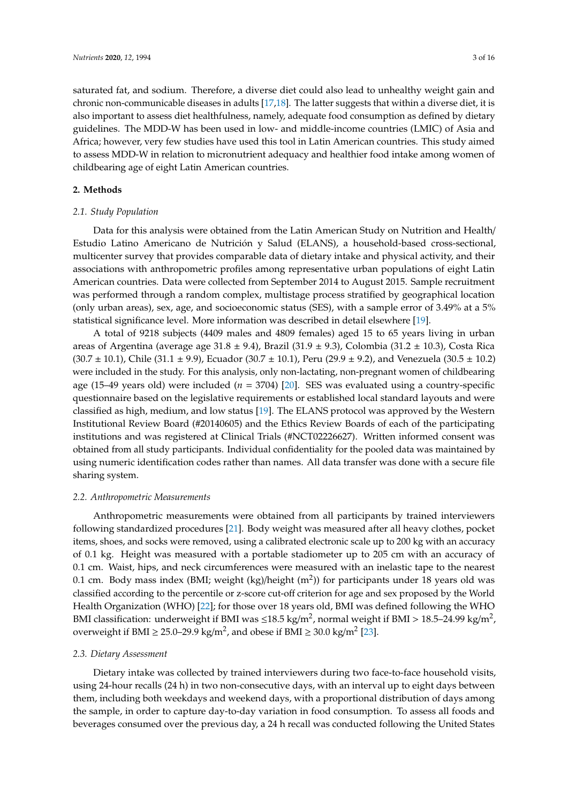saturated fat, and sodium. Therefore, a diverse diet could also lead to unhealthy weight gain and chronic non-communicable diseases in adults [\[17,](#page-13-12)[18\]](#page-13-13). The latter suggests that within a diverse diet, it is also important to assess diet healthfulness, namely, adequate food consumption as defined by dietary guidelines. The MDD-W has been used in low- and middle-income countries (LMIC) of Asia and Africa; however, very few studies have used this tool in Latin American countries. This study aimed to assess MDD-W in relation to micronutrient adequacy and healthier food intake among women of childbearing age of eight Latin American countries.

# **2. Methods**

## *2.1. Study Population*

Data for this analysis were obtained from the Latin American Study on Nutrition and Health/ Estudio Latino Americano de Nutrición y Salud (ELANS), a household-based cross-sectional, multicenter survey that provides comparable data of dietary intake and physical activity, and their associations with anthropometric profiles among representative urban populations of eight Latin American countries. Data were collected from September 2014 to August 2015. Sample recruitment was performed through a random complex, multistage process stratified by geographical location (only urban areas), sex, age, and socioeconomic status (SES), with a sample error of 3.49% at a 5% statistical significance level. More information was described in detail elsewhere [\[19\]](#page-13-14).

A total of 9218 subjects (4409 males and 4809 females) aged 15 to 65 years living in urban areas of Argentina (average age  $31.8 \pm 9.4$ ), Brazil ( $31.9 \pm 9.3$ ), Colombia ( $31.2 \pm 10.3$ ), Costa Rica  $(30.7 \pm 10.1)$ , Chile  $(31.1 \pm 9.9)$ , Ecuador  $(30.7 \pm 10.1)$ , Peru  $(29.9 \pm 9.2)$ , and Venezuela  $(30.5 \pm 10.2)$ were included in the study. For this analysis, only non-lactating, non-pregnant women of childbearing age (15–49 years old) were included (*n* = 3704) [\[20\]](#page-13-15). SES was evaluated using a country-specific questionnaire based on the legislative requirements or established local standard layouts and were classified as high, medium, and low status [\[19\]](#page-13-14). The ELANS protocol was approved by the Western Institutional Review Board (#20140605) and the Ethics Review Boards of each of the participating institutions and was registered at Clinical Trials (#NCT02226627). Written informed consent was obtained from all study participants. Individual confidentiality for the pooled data was maintained by using numeric identification codes rather than names. All data transfer was done with a secure file sharing system.

#### *2.2. Anthropometric Measurements*

Anthropometric measurements were obtained from all participants by trained interviewers following standardized procedures [\[21\]](#page-13-16). Body weight was measured after all heavy clothes, pocket items, shoes, and socks were removed, using a calibrated electronic scale up to 200 kg with an accuracy of 0.1 kg. Height was measured with a portable stadiometer up to 205 cm with an accuracy of 0.1 cm. Waist, hips, and neck circumferences were measured with an inelastic tape to the nearest 0.1 cm. Body mass index (BMI; weight (kg)/height (m<sup>2</sup>)) for participants under 18 years old was classified according to the percentile or z-score cut-off criterion for age and sex proposed by the World Health Organization (WHO) [\[22\]](#page-13-17); for those over 18 years old, BMI was defined following the WHO BMI classification: underweight if BMI was ≤18.5 kg/m<sup>2</sup>, normal weight if BMI > 18.5–24.99 kg/m<sup>2</sup>, overweight if BMI  $\geq 25.0$ -29.9 kg/m<sup>2</sup>, and obese if BMI  $\geq 30.0$  kg/m<sup>2</sup> [\[23\]](#page-14-0).

## *2.3. Dietary Assessment*

Dietary intake was collected by trained interviewers during two face-to-face household visits, using 24-hour recalls (24 h) in two non-consecutive days, with an interval up to eight days between them, including both weekdays and weekend days, with a proportional distribution of days among the sample, in order to capture day-to-day variation in food consumption. To assess all foods and beverages consumed over the previous day, a 24 h recall was conducted following the United States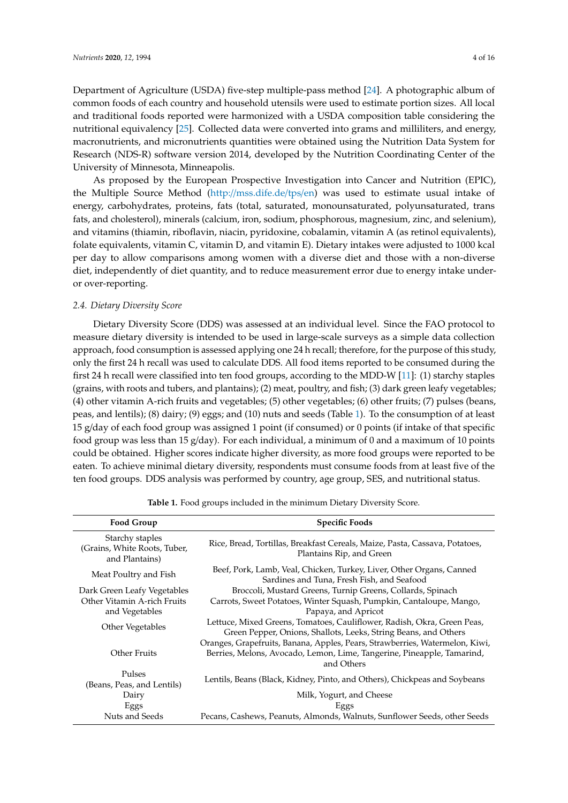Department of Agriculture (USDA) five-step multiple-pass method [\[24\]](#page-14-1). A photographic album of common foods of each country and household utensils were used to estimate portion sizes. All local and traditional foods reported were harmonized with a USDA composition table considering the nutritional equivalency [\[25\]](#page-14-2). Collected data were converted into grams and milliliters, and energy, macronutrients, and micronutrients quantities were obtained using the Nutrition Data System for Research (NDS-R) software version 2014, developed by the Nutrition Coordinating Center of the University of Minnesota, Minneapolis.

As proposed by the European Prospective Investigation into Cancer and Nutrition (EPIC), the Multiple Source Method (http://[mss.dife.de](http://mss.dife.de/tps/en)/tps/en) was used to estimate usual intake of energy, carbohydrates, proteins, fats (total, saturated, monounsaturated, polyunsaturated, trans fats, and cholesterol), minerals (calcium, iron, sodium, phosphorous, magnesium, zinc, and selenium), and vitamins (thiamin, riboflavin, niacin, pyridoxine, cobalamin, vitamin A (as retinol equivalents), folate equivalents, vitamin C, vitamin D, and vitamin E). Dietary intakes were adjusted to 1000 kcal per day to allow comparisons among women with a diverse diet and those with a non-diverse diet, independently of diet quantity, and to reduce measurement error due to energy intake underor over-reporting.

## *2.4. Dietary Diversity Score*

Dietary Diversity Score (DDS) was assessed at an individual level. Since the FAO protocol to measure dietary diversity is intended to be used in large-scale surveys as a simple data collection approach, food consumption is assessed applying one 24 h recall; therefore, for the purpose of this study, only the first 24 h recall was used to calculate DDS. All food items reported to be consumed during the first 24 h recall were classified into ten food groups, according to the MDD-W [\[11\]](#page-13-6): (1) starchy staples (grains, with roots and tubers, and plantains); (2) meat, poultry, and fish; (3) dark green leafy vegetables; (4) other vitamin A-rich fruits and vegetables; (5) other vegetables; (6) other fruits; (7) pulses (beans, peas, and lentils); (8) dairy; (9) eggs; and (10) nuts and seeds (Table [1\)](#page-3-0). To the consumption of at least 15 g/day of each food group was assigned 1 point (if consumed) or 0 points (if intake of that specific food group was less than 15 g/day). For each individual, a minimum of 0 and a maximum of 10 points could be obtained. Higher scores indicate higher diversity, as more food groups were reported to be eaten. To achieve minimal dietary diversity, respondents must consume foods from at least five of the ten food groups. DDS analysis was performed by country, age group, SES, and nutritional status.

<span id="page-3-0"></span>

| <b>Food Group</b>                                                 | <b>Specific Foods</b>                                                                                                                                                |
|-------------------------------------------------------------------|----------------------------------------------------------------------------------------------------------------------------------------------------------------------|
| Starchy staples<br>(Grains, White Roots, Tuber,<br>and Plantains) | Rice, Bread, Tortillas, Breakfast Cereals, Maize, Pasta, Cassava, Potatoes,<br>Plantains Rip, and Green                                                              |
| Meat Poultry and Fish                                             | Beef, Pork, Lamb, Veal, Chicken, Turkey, Liver, Other Organs, Canned<br>Sardines and Tuna, Fresh Fish, and Seafood                                                   |
| Dark Green Leafy Vegetables                                       | Broccoli, Mustard Greens, Turnip Greens, Collards, Spinach                                                                                                           |
| Other Vitamin A-rich Fruits<br>and Vegetables                     | Carrots, Sweet Potatoes, Winter Squash, Pumpkin, Cantaloupe, Mango,<br>Papaya, and Apricot                                                                           |
| Other Vegetables                                                  | Lettuce, Mixed Greens, Tomatoes, Cauliflower, Radish, Okra, Green Peas,<br>Green Pepper, Onions, Shallots, Leeks, String Beans, and Others                           |
| Other Fruits                                                      | Oranges, Grapefruits, Banana, Apples, Pears, Strawberries, Watermelon, Kiwi,<br>Berries, Melons, Avocado, Lemon, Lime, Tangerine, Pineapple, Tamarind,<br>and Others |
| Pulses<br>(Beans, Peas, and Lentils)                              | Lentils, Beans (Black, Kidney, Pinto, and Others), Chickpeas and Soybeans                                                                                            |
| Dairy                                                             | Milk, Yogurt, and Cheese                                                                                                                                             |
| Eggs                                                              | Eggs                                                                                                                                                                 |
| Nuts and Seeds                                                    | Pecans, Cashews, Peanuts, Almonds, Walnuts, Sunflower Seeds, other Seeds                                                                                             |

**Table 1.** Food groups included in the minimum Dietary Diversity Score.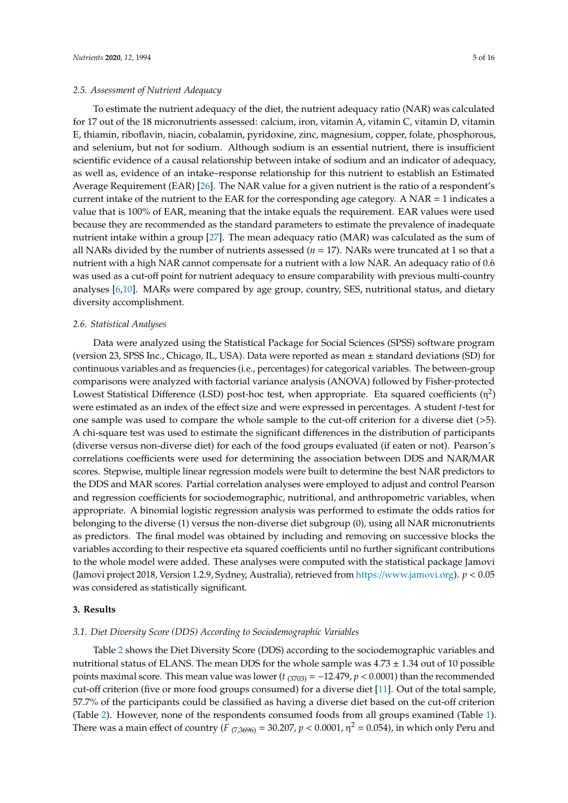To estimate the nutrient adequacy of the diet, the nutrient adequacy ratio (NAR) was calculated for 17 out of the 18 micronutrients assessed: calcium, iron, vitamin A, vitamin C, vitamin D, vitamin E, thiamin, riboflavin, niacin, cobalamin, pyridoxine, zinc, magnesium, copper, folate, phosphorous, and selenium, but not for sodium. Although sodium is an essential nutrient, there is insufficient scientific evidence of a causal relationship between intake of sodium and an indicator of adequacy, as well as, evidence of an intake–response relationship for this nutrient to establish an Estimated Average Requirement (EAR) [\[26\]](#page-14-3). The NAR value for a given nutrient is the ratio of a respondent's current intake of the nutrient to the EAR for the corresponding age category. A  $NAR = 1$  indicates a value that is 100% of EAR, meaning that the intake equals the requirement. EAR values were used because they are recommended as the standard parameters to estimate the prevalence of inadequate nutrient intake within a group [\[27\]](#page-14-4). The mean adequacy ratio (MAR) was calculated as the sum of all NARs divided by the number of nutrients assessed (*n* = 17). NARs were truncated at 1 so that a nutrient with a high NAR cannot compensate for a nutrient with a low NAR. An adequacy ratio of 0.6 was used as a cut-off point for nutrient adequacy to ensure comparability with previous multi-country analyses [\[6,](#page-13-1)[10\]](#page-13-5). MARs were compared by age group, country, SES, nutritional status, and dietary diversity accomplishment.

#### *2.6. Statistical Analyses*

Data were analyzed using the Statistical Package for Social Sciences (SPSS) software program (version 23, SPSS Inc., Chicago, IL, USA). Data were reported as mean ± standard deviations (SD) for continuous variables and as frequencies (i.e., percentages) for categorical variables. The between-group comparisons were analyzed with factorial variance analysis (ANOVA) followed by Fisher-protected Lowest Statistical Difference (LSD) post-hoc test, when appropriate. Eta squared coefficients  $(\eta^2)$ were estimated as an index of the effect size and were expressed in percentages. A student *t*-test for one sample was used to compare the whole sample to the cut-off criterion for a diverse diet  $(>5)$ . A chi-square test was used to estimate the significant differences in the distribution of participants (diverse versus non-diverse diet) for each of the food groups evaluated (if eaten or not). Pearson's correlations coefficients were used for determining the association between DDS and NAR/MAR scores. Stepwise, multiple linear regression models were built to determine the best NAR predictors to the DDS and MAR scores. Partial correlation analyses were employed to adjust and control Pearson and regression coefficients for sociodemographic, nutritional, and anthropometric variables, when appropriate. A binomial logistic regression analysis was performed to estimate the odds ratios for belonging to the diverse (1) versus the non-diverse diet subgroup (0), using all NAR micronutrients as predictors. The final model was obtained by including and removing on successive blocks the variables according to their respective eta squared coefficients until no further significant contributions to the whole model were added. These analyses were computed with the statistical package Jamovi (Jamovi project 2018, Version 1.2.9, Sydney, Australia), retrieved from https://[www.jamovi.org\)](https://www.jamovi.org). *p* < 0.05 was considered as statistically significant.

# **3. Results**

#### *3.1. Diet Diversity Score (DDS) According to Sociodemographic Variables*

Table [2](#page-5-0) shows the Diet Diversity Score (DDS) according to the sociodemographic variables and nutritional status of ELANS. The mean DDS for the whole sample was  $4.73 \pm 1.34$  out of 10 possible points maximal score. This mean value was lower  $(t_{(3703)} = -12.479, p < 0.0001)$  than the recommended cut-off criterion (five or more food groups consumed) for a diverse diet [\[11\]](#page-13-6). Out of the total sample, 57.7% of the participants could be classified as having a diverse diet based on the cut-off criterion (Table [2\)](#page-5-0). However, none of the respondents consumed foods from all groups examined (Table [1\)](#page-3-0). There was a main effect of country (*F* <sub>(7,3696)</sub> = 30.207,  $p < 0.0001$ ,  $\eta^2 = 0.054$ ), in which only Peru and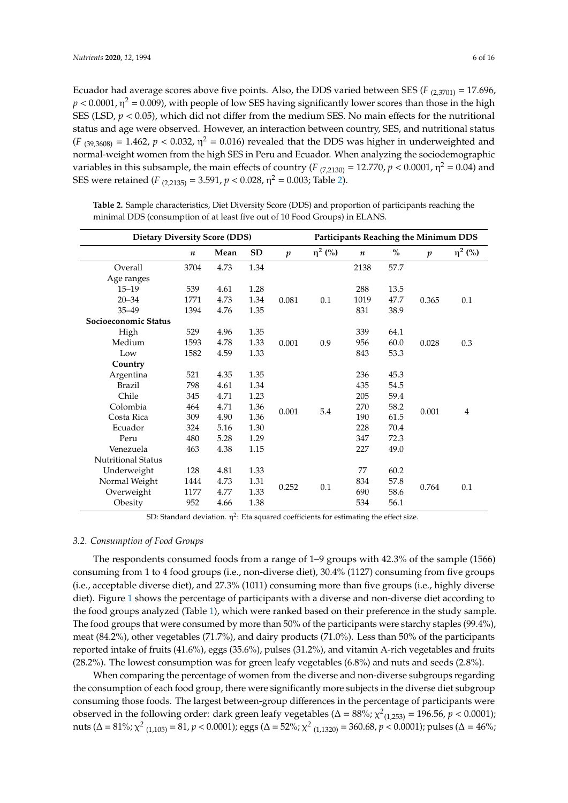Ecuador had average scores above five points. Also, the DDS varied between SES ( $F_{(2,3701)} = 17.696$ ,  $p < 0.0001$ ,  $\eta^2$  = 0.009), with people of low SES having significantly lower scores than those in the high SES (LSD,  $p < 0.05$ ), which did not differ from the medium SES. No main effects for the nutritional status and age were observed. However, an interaction between country, SES, and nutritional status  $(F_{(39,3608)} = 1.462, p < 0.032, η<sup>2</sup> = 0.016)$  revealed that the DDS was higher in underweighted and normal-weight women from the high SES in Peru and Ecuador. When analyzing the sociodemographic variables in this subsample, the main effects of country ( $F_{(7,2130)} = 12.770$ ,  $p < 0.0001$ ,  $\eta^2 = 0.04$ ) and SES were retained (*F* <sub>(2,2135)</sub> = 3.591,  $p < 0.028$ ,  $\eta^2 = 0.003$ ; Table [2\)](#page-5-0).

| <b>Dietary Diversity Score (DDS)</b> |      |      |           |                  |              |                  |      | <b>Participants Reaching the Minimum DDS</b> |                    |
|--------------------------------------|------|------|-----------|------------------|--------------|------------------|------|----------------------------------------------|--------------------|
|                                      | n    | Mean | <b>SD</b> | $\boldsymbol{p}$ | $\eta^2$ (%) | $\boldsymbol{n}$ | $\%$ | $\boldsymbol{p}$                             | η <sup>2</sup> (%) |
| Overall                              | 3704 | 4.73 | 1.34      |                  |              | 2138             | 57.7 |                                              |                    |
| Age ranges                           |      |      |           |                  |              |                  |      |                                              |                    |
| $15 - 19$                            | 539  | 4.61 | 1.28      |                  |              | 288              | 13.5 |                                              |                    |
| $20 - 34$                            | 1771 | 4.73 | 1.34      | 0.081            | 0.1          | 1019             | 47.7 | 0.365                                        | 0.1                |
| $35 - 49$                            | 1394 | 4.76 | 1.35      |                  |              | 831              | 38.9 |                                              |                    |
| Socioeconomic Status                 |      |      |           |                  |              |                  |      |                                              |                    |
| High                                 | 529  | 4.96 | 1.35      |                  |              | 339              | 64.1 |                                              |                    |
| Medium                               | 1593 | 4.78 | 1.33      | 0.001            | 0.9          | 956              | 60.0 | 0.028                                        | 0.3                |
| Low                                  | 1582 | 4.59 | 1.33      |                  |              | 843              | 53.3 |                                              |                    |
| Country                              |      |      |           |                  |              |                  |      |                                              |                    |
| Argentina                            | 521  | 4.35 | 1.35      |                  |              | 236              | 45.3 |                                              |                    |
| <b>Brazil</b>                        | 798  | 4.61 | 1.34      |                  |              | 435              | 54.5 |                                              |                    |
| Chile                                | 345  | 4.71 | 1.23      |                  |              | 205              | 59.4 |                                              |                    |
| Colombia                             | 464  | 4.71 | 1.36      | 0.001            | 5.4          | 270              | 58.2 | 0.001                                        | 4                  |
| Costa Rica                           | 309  | 4.90 | 1.36      |                  |              | 190              | 61.5 |                                              |                    |
| Ecuador                              | 324  | 5.16 | 1.30      |                  |              | 228              | 70.4 |                                              |                    |
| Peru                                 | 480  | 5.28 | 1.29      |                  |              | 347              | 72.3 |                                              |                    |
| Venezuela                            | 463  | 4.38 | 1.15      |                  |              | 227              | 49.0 |                                              |                    |
| <b>Nutritional Status</b>            |      |      |           |                  |              |                  |      |                                              |                    |
| Underweight                          | 128  | 4.81 | 1.33      |                  |              | 77               | 60.2 |                                              |                    |
| Normal Weight                        | 1444 | 4.73 | 1.31      |                  |              | 834              | 57.8 |                                              |                    |
| Overweight                           | 1177 | 4.77 | 1.33      | 0.252            | 0.1          | 690              | 58.6 | 0.764                                        | 0.1                |
| Obesity                              | 952  | 4.66 | 1.38      |                  |              | 534              | 56.1 |                                              |                    |

<span id="page-5-0"></span>**Table 2.** Sample characteristics, Diet Diversity Score (DDS) and proportion of participants reaching the minimal DDS (consumption of at least five out of 10 Food Groups) in ELANS.

SD: Standard deviation.  $\eta^2$ : Eta squared coefficients for estimating the effect size.

# *3.2. Consumption of Food Groups*

The respondents consumed foods from a range of 1–9 groups with 42.3% of the sample (1566) consuming from 1 to 4 food groups (i.e., non-diverse diet), 30.4% (1127) consuming from five groups (i.e., acceptable diverse diet), and 27.3% (1011) consuming more than five groups (i.e., highly diverse diet). Figure [1](#page-6-0) shows the percentage of participants with a diverse and non-diverse diet according to the food groups analyzed (Table [1\)](#page-3-0), which were ranked based on their preference in the study sample. The food groups that were consumed by more than 50% of the participants were starchy staples (99.4%), meat (84.2%), other vegetables (71.7%), and dairy products (71.0%). Less than 50% of the participants reported intake of fruits (41.6%), eggs (35.6%), pulses (31.2%), and vitamin A-rich vegetables and fruits (28.2%). The lowest consumption was for green leafy vegetables (6.8%) and nuts and seeds (2.8%).

When comparing the percentage of women from the diverse and non-diverse subgroups regarding the consumption of each food group, there were significantly more subjects in the diverse diet subgroup consuming those foods. The largest between-group differences in the percentage of participants were observed in the following order: dark green leafy vegetables (Δ = 88%;  $\chi^2_{(1,253)}$  = 196.56, *p* < 0.0001); nuts (Δ = 81%; χ<sup>2</sup> <sub>(1,105)</sub> = 81, *p* < 0.0001); eggs (Δ = 52%; χ<sup>2</sup> <sub>(1,1320)</sub> = 360.68, *p* < 0.0001); pulses (Δ = 46%;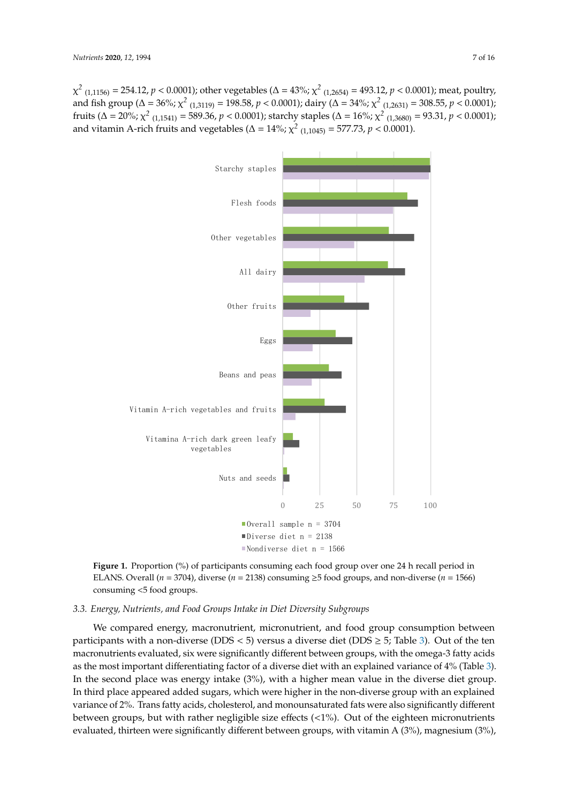$\chi^2$  <sub>(1,1156)</sub> = 254.12, *p* < 0.0001); other vegetables ( $\Delta$  = 43%;  $\chi^2$  <sub>(1,2654)</sub> = 493.12, *p* < 0.0001); meat, poultry, and fish group ( $\Delta = 36\%$ ;  $\chi^2$  <sub>(1,3119)</sub> = 198.58,  $p < 0.0001$ ); dairy ( $\Delta = 34\%$ ;  $\chi^2$  <sub>(1,2631)</sub> = 308.55,  $p < 0.0001$ ); fruits ( $\Delta = 20\%$ ;  $\chi^2$  (1,1541) = 589.36,  $p < 0.0001$ ); starchy staples ( $\Delta = 16\%$ ;  $\chi^2$  (1,3680) = 93.31,  $p < 0.0001$ ); and vitamin A-rich fruits and vegetables ( $\Delta = 14\%$ ;  $\chi^2$  <sub>(1,1045)</sub> = 577.73,  $p < 0.0001$ ).  $\chi^2$  (1,1156) = 254.12, p < 0.0001); other vegetables ( $\Delta$  = 43%;  $\chi^2$  (1,2654) = 493.12, p < 0.0001); meat, poultry,

<span id="page-6-0"></span>

**Figure 1.** Proportion (%) of participants consuming each food group over one 24 h recall period **Figure 1.** Proportion (%) of participants consuming each food group over one 24 h recall period in ELANS. Overall ( $n = 3704$ ), diverse ( $n = 2138$ ) consuming  $\geq 5$  food groups, and non-diverse ( $n = 1566$ ) 1566) consuming <5 food groups. consuming <5 food groups.

# *3.3. Energy, Nutrients, and Food Groups Intake in Diet Diversity Subgroups*

We compared energy, macronutrient, micronutrient, and food group consumption between participants with a non-diverse (DDS < 5) versus a diverse diet (DDS  $\geq$  5; Table [3\)](#page-7-0). Out of the ten macronutrients evaluated, six were significantly different between groups, with the omega-3 fatty acids as the most important differentiating factor of a diverse diet with an explained variance of 4% (Table [3\)](#page-7-0). In the second place was energy intake (3%), with a higher mean value in the diverse diet group. In third place appeared added sugars, which were higher in the non-diverse group with an explained variance of 2%. Trans fatty acids, cholesterol, and monounsaturated fats were also significantly different between groups, but with rather negligible size effects  $\left\langle \langle 1\% \rangle \right\rangle$ . Out of the eighteen micronutrients evaluated, thirteen were significantly different between groups, with vitamin A (3%), magnesium (3%),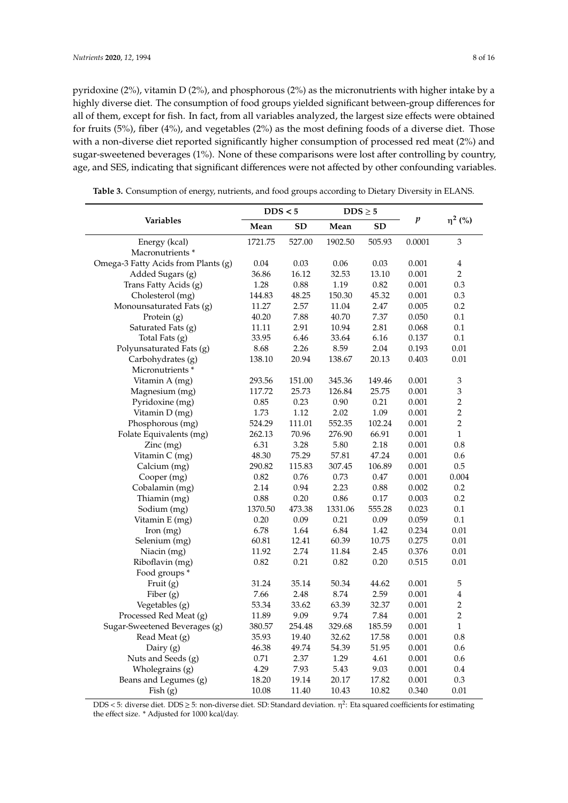pyridoxine (2%), vitamin D (2%), and phosphorous (2%) as the micronutrients with higher intake by a highly diverse diet. The consumption of food groups yielded significant between-group differences for all of them, except for fish. In fact, from all variables analyzed, the largest size effects were obtained for fruits (5%), fiber (4%), and vegetables (2%) as the most defining foods of a diverse diet. Those with a non-diverse diet reported significantly higher consumption of processed red meat (2%) and sugar-sweetened beverages (1%). None of these comparisons were lost after controlling by country, age, and SES, indicating that significant differences were not affected by other confounding variables.

|                                     | DDS < 5 |        | $\text{DDS}\geq 5$ |        |        |                             |  |
|-------------------------------------|---------|--------|--------------------|--------|--------|-----------------------------|--|
| Variables                           | Mean    | SD     | Mean               | SD     | p      | $\eta^2$ (%)                |  |
| Energy (kcal)                       | 1721.75 | 527.00 | 1902.50            | 505.93 | 0.0001 | 3                           |  |
| Macronutrients <sup>*</sup>         |         |        |                    |        |        |                             |  |
| Omega-3 Fatty Acids from Plants (g) | 0.04    | 0.03   | 0.06               | 0.03   | 0.001  | $\overline{\mathbf{4}}$     |  |
| Added Sugars (g)                    | 36.86   | 16.12  | 32.53              | 13.10  | 0.001  | $\overline{2}$              |  |
| Trans Fatty Acids (g)               | 1.28    | 0.88   | 1.19               | 0.82   | 0.001  | 0.3                         |  |
| Cholesterol (mg)                    | 144.83  | 48.25  | 150.30             | 45.32  | 0.001  | 0.3                         |  |
| Monounsaturated Fats (g)            | 11.27   | 2.57   | 11.04              | 2.47   | 0.005  | 0.2                         |  |
| Protein (g)                         | 40.20   | 7.88   | 40.70              | 7.37   | 0.050  | 0.1                         |  |
| Saturated Fats (g)                  | 11.11   | 2.91   | 10.94              | 2.81   | 0.068  | 0.1                         |  |
| Total Fats (g)                      | 33.95   | 6.46   | 33.64              | 6.16   | 0.137  | 0.1                         |  |
| Polyunsaturated Fats (g)            | 8.68    | 2.26   | 8.59               | 2.04   | 0.193  | 0.01                        |  |
| Carbohydrates (g)                   | 138.10  | 20.94  | 138.67             | 20.13  | 0.403  | 0.01                        |  |
| Micronutrients*                     |         |        |                    |        |        |                             |  |
| Vitamin A (mg)                      | 293.56  | 151.00 | 345.36             | 149.46 | 0.001  | $\ensuremath{\mathfrak{Z}}$ |  |
| Magnesium (mg)                      | 117.72  | 25.73  | 126.84             | 25.75  | 0.001  | 3                           |  |
| Pyridoxine (mg)                     | 0.85    | 0.23   | 0.90               | 0.21   | 0.001  | 2                           |  |
| Vitamin D (mg)                      | 1.73    | 1.12   | 2.02               | 1.09   | 0.001  | $\overline{c}$              |  |
| Phosphorous (mg)                    | 524.29  | 111.01 | 552.35             | 102.24 | 0.001  | $\overline{c}$              |  |
| Folate Equivalents (mg)             | 262.13  | 70.96  | 276.90             | 66.91  | 0.001  | $\mathbf{1}$                |  |
| Zinc(mg)                            | 6.31    | 3.28   | 5.80               | 2.18   | 0.001  | 0.8                         |  |
| Vitamin C (mg)                      | 48.30   | 75.29  | 57.81              | 47.24  | 0.001  | 0.6                         |  |
| Calcium (mg)                        | 290.82  | 115.83 | 307.45             | 106.89 | 0.001  | 0.5                         |  |
| Cooper (mg)                         | 0.82    | 0.76   | 0.73               | 0.47   | 0.001  | 0.004                       |  |
| Cobalamin (mg)                      | 2.14    | 0.94   | 2.23               | 0.88   | 0.002  | 0.2                         |  |
| Thiamin (mg)                        | 0.88    | 0.20   | 0.86               | 0.17   | 0.003  | 0.2                         |  |
| Sodium (mg)                         | 1370.50 | 473.38 | 1331.06            | 555.28 | 0.023  | 0.1                         |  |
| Vitamin E (mg)                      | 0.20    | 0.09   | 0.21               | 0.09   | 0.059  | $0.1\,$                     |  |
| [from (mg)]                         | 6.78    | 1.64   | 6.84               | 1.42   | 0.234  | 0.01                        |  |
| Selenium (mg)                       | 60.81   | 12.41  | 60.39              | 10.75  | 0.275  | 0.01                        |  |
| Niacin (mg)                         | 11.92   | 2.74   | 11.84              | 2.45   | 0.376  | 0.01                        |  |
| Riboflavin (mg)                     | 0.82    | 0.21   | 0.82               | 0.20   | 0.515  | 0.01                        |  |
| Food groups *                       |         |        |                    |        |        |                             |  |
| Fruit (g)                           | 31.24   | 35.14  | 50.34              | 44.62  | 0.001  | 5                           |  |
| Fiber (g)                           | 7.66    | 2.48   | 8.74               | 2.59   | 0.001  | $\bf 4$                     |  |
| Vegetables (g)                      | 53.34   | 33.62  | 63.39              | 32.37  | 0.001  | $\overline{c}$              |  |
| Processed Red Meat (g)              | 11.89   | 9.09   | 9.74               | 7.84   | 0.001  | $\overline{2}$              |  |
| Sugar-Sweetened Beverages (g)       | 380.57  | 254.48 | 329.68             | 185.59 | 0.001  | $\,1$                       |  |
| Read Meat (g)                       | 35.93   | 19.40  | 32.62              | 17.58  | 0.001  | 0.8                         |  |
| Dairy (g)                           | 46.38   | 49.74  | 54.39              | 51.95  | 0.001  | 0.6                         |  |
| Nuts and Seeds (g)                  | 0.71    | 2.37   | 1.29               | 4.61   | 0.001  | 0.6                         |  |
| Wholegrains (g)                     | 4.29    | 7.93   | 5.43               | 9.03   | 0.001  | 0.4                         |  |
| Beans and Legumes (g)               | 18.20   | 19.14  | 20.17              | 17.82  | 0.001  | 0.3                         |  |
| Fish (g)                            | 10.08   | 11.40  | 10.43              | 10.82  | 0.340  | 0.01                        |  |

<span id="page-7-0"></span>**Table 3.** Consumption of energy, nutrients, and food groups according to Dietary Diversity in ELANS.

DDS < 5: diverse diet. DDS  $\geq$  5: non-diverse diet. SD: Standard deviation.  $\eta^2$ : Eta squared coefficients for estimating the effect size. \* Adjusted for 1000 kcal/day.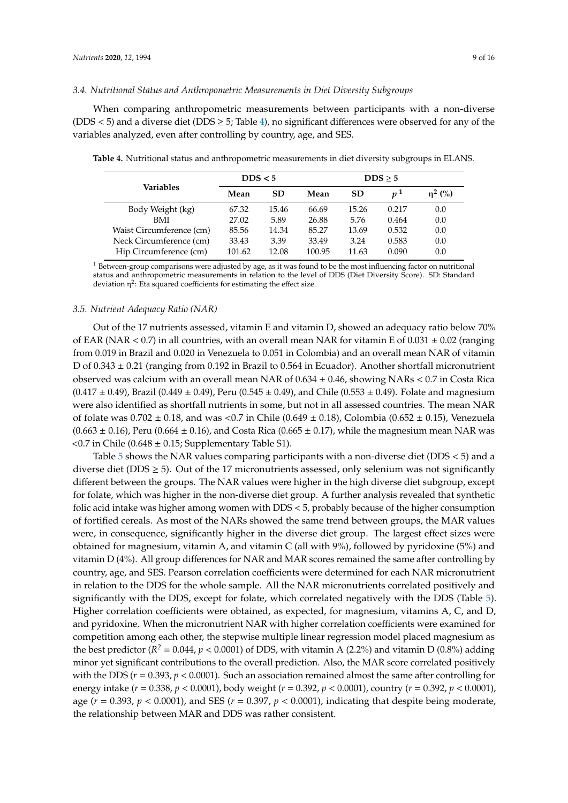## *3.4. Nutritional Status and Anthropometric Measurements in Diet Diversity Subgroups*

When comparing anthropometric measurements between participants with a non-diverse (DDS  $\lt$  5) and a diverse diet (DDS  $\geq$  5; Table [4\)](#page-8-0), no significant differences were observed for any of the variables analyzed, even after controlling by country, age, and SES.

|                          | DDS < 5 |           | DDS > 5 |           |       |              |  |
|--------------------------|---------|-----------|---------|-----------|-------|--------------|--|
| Variables                | Mean    | <b>SD</b> | Mean    | <b>SD</b> | $n^1$ | $\eta^2$ (%) |  |
| Body Weight (kg)         | 67.32   | 15.46     | 66.69   | 15.26     | 0.217 | 0.0          |  |
| BMI                      | 27.02   | 5.89      | 26.88   | 5.76      | 0.464 | 0.0          |  |
| Waist Circumference (cm) | 85.56   | 14.34     | 85.27   | 13.69     | 0.532 | 0.0          |  |
| Neck Circumference (cm)  | 33.43   | 3.39      | 33.49   | 3.24      | 0.583 | 0.0          |  |
| Hip Circumference (cm)   | 101.62  | 12.08     | 100.95  | 11.63     | 0.090 | 0.0          |  |

<span id="page-8-0"></span>**Table 4.** Nutritional status and anthropometric measurements in diet diversity subgroups in ELANS.

<sup>1</sup> Between-group comparisons were adjusted by age, as it was found to be the most influencing factor on nutritional status and anthropometric measurements in relation to the level of DDS (Diet Diversity Score). SD: Standard deviation  $\eta^2$ : Eta squared coefficients for estimating the effect size.

## *3.5. Nutrient Adequacy Ratio (NAR)*

Out of the 17 nutrients assessed, vitamin E and vitamin D, showed an adequacy ratio below 70% of EAR (NAR  $< 0.7$ ) in all countries, with an overall mean NAR for vitamin E of  $0.031 \pm 0.02$  (ranging from 0.019 in Brazil and 0.020 in Venezuela to 0.051 in Colombia) and an overall mean NAR of vitamin D of 0.343 ± 0.21 (ranging from 0.192 in Brazil to 0.564 in Ecuador). Another shortfall micronutrient observed was calcium with an overall mean NAR of  $0.634 \pm 0.46$ , showing NARs < 0.7 in Costa Rica  $(0.417 \pm 0.49)$ , Brazil  $(0.449 \pm 0.49)$ , Peru  $(0.545 \pm 0.49)$ , and Chile  $(0.553 \pm 0.49)$ . Folate and magnesium were also identified as shortfall nutrients in some, but not in all assessed countries. The mean NAR of folate was  $0.702 \pm 0.18$ , and was <0.7 in Chile (0.649  $\pm$  0.18), Colombia (0.652  $\pm$  0.15), Venezuela  $(0.663 \pm 0.16)$ , Peru  $(0.664 \pm 0.16)$ , and Costa Rica  $(0.665 \pm 0.17)$ , while the magnesium mean NAR was  $<$  0.7 in Chile (0.648  $\pm$  0.15; Supplementary Table S1).

Table [5](#page-9-0) shows the NAR values comparing participants with a non-diverse diet (DDS < 5) and a diverse diet (DDS  $\geq$  5). Out of the 17 micronutrients assessed, only selenium was not significantly different between the groups. The NAR values were higher in the high diverse diet subgroup, except for folate, which was higher in the non-diverse diet group. A further analysis revealed that synthetic folic acid intake was higher among women with DDS < 5, probably because of the higher consumption of fortified cereals. As most of the NARs showed the same trend between groups, the MAR values were, in consequence, significantly higher in the diverse diet group. The largest effect sizes were obtained for magnesium, vitamin A, and vitamin C (all with 9%), followed by pyridoxine (5%) and vitamin D (4%). All group differences for NAR and MAR scores remained the same after controlling by country, age, and SES. Pearson correlation coefficients were determined for each NAR micronutrient in relation to the DDS for the whole sample. All the NAR micronutrients correlated positively and significantly with the DDS, except for folate, which correlated negatively with the DDS (Table [5\)](#page-9-0). Higher correlation coefficients were obtained, as expected, for magnesium, vitamins A, C, and D, and pyridoxine. When the micronutrient NAR with higher correlation coefficients were examined for competition among each other, the stepwise multiple linear regression model placed magnesium as the best predictor ( $R^2 = 0.044$ ,  $p < 0.0001$ ) of DDS, with vitamin A (2.2%) and vitamin D (0.8%) adding minor yet significant contributions to the overall prediction. Also, the MAR score correlated positively with the DDS ( $r = 0.393$ ,  $p < 0.0001$ ). Such an association remained almost the same after controlling for energy intake (*r* = 0.338, *p* < 0.0001), body weight (*r* = 0.392, *p* < 0.0001), country (*r* = 0.392, *p* < 0.0001), age (*r* = 0.393, *p* < 0.0001), and SES (*r* = 0.397, *p* < 0.0001), indicating that despite being moderate, the relationship between MAR and DDS was rather consistent.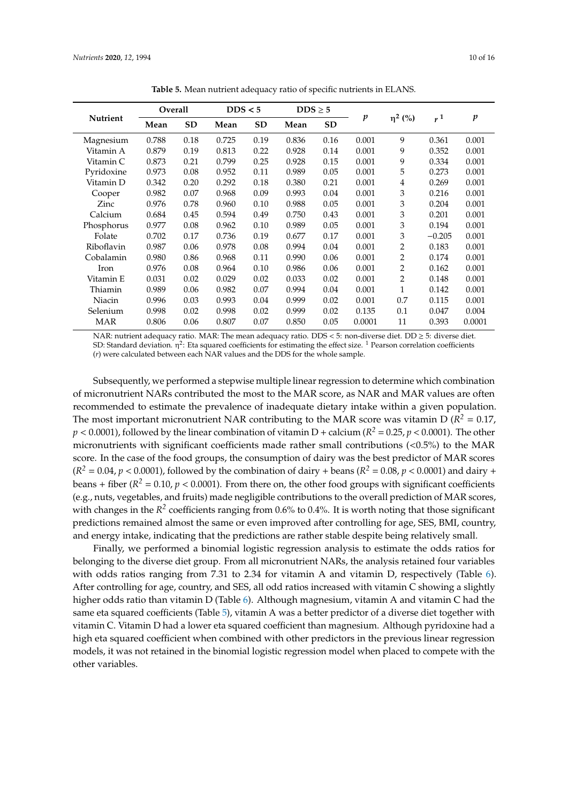<span id="page-9-0"></span>

|                 | Overall |           | DDS < 5 |           | $DDS \geq 5$ |           |        |                |                |                  |
|-----------------|---------|-----------|---------|-----------|--------------|-----------|--------|----------------|----------------|------------------|
| <b>Nutrient</b> | Mean    | <b>SD</b> | Mean    | <b>SD</b> | Mean         | <b>SD</b> | p      | $\eta^2$ (%)   | r <sup>1</sup> | $\boldsymbol{p}$ |
| Magnesium       | 0.788   | 0.18      | 0.725   | 0.19      | 0.836        | 0.16      | 0.001  | 9              | 0.361          | 0.001            |
| Vitamin A       | 0.879   | 0.19      | 0.813   | 0.22      | 0.928        | 0.14      | 0.001  | 9              | 0.352          | 0.001            |
| Vitamin C       | 0.873   | 0.21      | 0.799   | 0.25      | 0.928        | 0.15      | 0.001  | 9              | 0.334          | 0.001            |
| Pyridoxine      | 0.973   | 0.08      | 0.952   | 0.11      | 0.989        | 0.05      | 0.001  | 5              | 0.273          | 0.001            |
| Vitamin D       | 0.342   | 0.20      | 0.292   | 0.18      | 0.380        | 0.21      | 0.001  | 4              | 0.269          | 0.001            |
| Cooper          | 0.982   | 0.07      | 0.968   | 0.09      | 0.993        | 0.04      | 0.001  | 3              | 0.216          | 0.001            |
| Zinc            | 0.976   | 0.78      | 0.960   | 0.10      | 0.988        | 0.05      | 0.001  | 3              | 0.204          | 0.001            |
| Calcium         | 0.684   | 0.45      | 0.594   | 0.49      | 0.750        | 0.43      | 0.001  | 3              | 0.201          | 0.001            |
| Phosphorus      | 0.977   | 0.08      | 0.962   | 0.10      | 0.989        | 0.05      | 0.001  | 3              | 0.194          | 0.001            |
| Folate          | 0.702   | 0.17      | 0.736   | 0.19      | 0.677        | 0.17      | 0.001  | 3              | $-0.205$       | 0.001            |
| Riboflavin      | 0.987   | 0.06      | 0.978   | 0.08      | 0.994        | 0.04      | 0.001  | $\overline{2}$ | 0.183          | 0.001            |
| Cobalamin       | 0.980   | 0.86      | 0.968   | 0.11      | 0.990        | 0.06      | 0.001  | $\overline{2}$ | 0.174          | 0.001            |
| Iron            | 0.976   | 0.08      | 0.964   | 0.10      | 0.986        | 0.06      | 0.001  | 2              | 0.162          | 0.001            |
| Vitamin E       | 0.031   | 0.02      | 0.029   | 0.02      | 0.033        | 0.02      | 0.001  | 2              | 0.148          | 0.001            |
| Thiamin         | 0.989   | 0.06      | 0.982   | 0.07      | 0.994        | 0.04      | 0.001  | 1              | 0.142          | 0.001            |
| Niacin          | 0.996   | 0.03      | 0.993   | 0.04      | 0.999        | 0.02      | 0.001  | 0.7            | 0.115          | 0.001            |
| Selenium        | 0.998   | 0.02      | 0.998   | 0.02      | 0.999        | 0.02      | 0.135  | 0.1            | 0.047          | 0.004            |
| <b>MAR</b>      | 0.806   | 0.06      | 0.807   | 0.07      | 0.850        | 0.05      | 0.0001 | 11             | 0.393          | 0.0001           |

**Table 5.** Mean nutrient adequacy ratio of specific nutrients in ELANS.

NAR: nutrient adequacy ratio. MAR: The mean adequacy ratio. DDS < 5: non-diverse diet. DD ≥ 5: diverse diet. SD: Standard deviation.  $\eta^2$ : Eta squared coefficients for estimating the effect size. <sup>1</sup> Pearson correlation coefficients (*r*) were calculated between each NAR values and the DDS for the whole sample.

Subsequently, we performed a stepwise multiple linear regression to determine which combination of micronutrient NARs contributed the most to the MAR score, as NAR and MAR values are often recommended to estimate the prevalence of inadequate dietary intake within a given population. The most important micronutrient NAR contributing to the MAR score was vitamin D ( $R^2 = 0.17$ ,  $p < 0.0001$ ), followed by the linear combination of vitamin D + calcium ( $R^2 = 0.25$ ,  $p < 0.0001$ ). The other micronutrients with significant coefficients made rather small contributions  $(<0.5\%)$  to the MAR score. In the case of the food groups, the consumption of dairy was the best predictor of MAR scores  $(R^2 = 0.04, p < 0.0001)$ , followed by the combination of dairy + beans ( $R^2 = 0.08, p < 0.0001$ ) and dairy + beans + fiber ( $R^2 = 0.10$ ,  $p < 0.0001$ ). From there on, the other food groups with significant coefficients (e.g., nuts, vegetables, and fruits) made negligible contributions to the overall prediction of MAR scores, with changes in the  $R^2$  coefficients ranging from 0.6% to 0.4%. It is worth noting that those significant predictions remained almost the same or even improved after controlling for age, SES, BMI, country, and energy intake, indicating that the predictions are rather stable despite being relatively small.

Finally, we performed a binomial logistic regression analysis to estimate the odds ratios for belonging to the diverse diet group. From all micronutrient NARs, the analysis retained four variables with odds ratios ranging from 7.31 to 2.34 for vitamin A and vitamin D, respectively (Table [6\)](#page-10-0). After controlling for age, country, and SES, all odd ratios increased with vitamin C showing a slightly higher odds ratio than vitamin D (Table [6\)](#page-10-0). Although magnesium, vitamin A and vitamin C had the same eta squared coefficients (Table [5\)](#page-9-0), vitamin A was a better predictor of a diverse diet together with vitamin C. Vitamin D had a lower eta squared coefficient than magnesium. Although pyridoxine had a high eta squared coefficient when combined with other predictors in the previous linear regression models, it was not retained in the binomial logistic regression model when placed to compete with the other variables.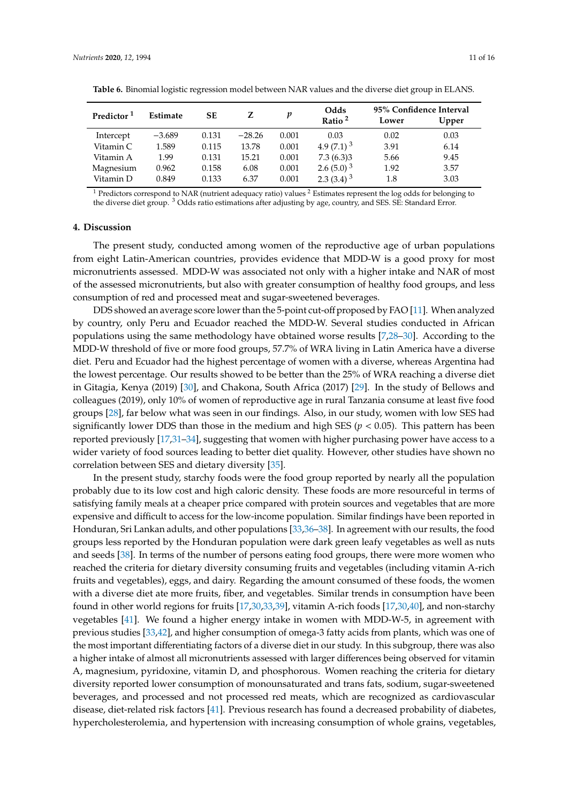| Predictor <sup>1</sup> | <b>Estimate</b> | SE    |          | p     | Odds<br>Ratio <sup>2</sup> | 95% Confidence Interval<br>Lower | Upper |
|------------------------|-----------------|-------|----------|-------|----------------------------|----------------------------------|-------|
| Intercept              | $-3.689$        | 0.131 | $-28.26$ | 0.001 | 0.03                       | 0.02                             | 0.03  |
| Vitamin C              | 1.589           | 0.115 | 13.78    | 0.001 | 4.9 $(7.1)^3$              | 3.91                             | 6.14  |
| Vitamin A              | 1.99            | 0.131 | 15.21    | 0.001 | 7.3(6.3)3                  | 5.66                             | 9.45  |
| Magnesium              | 0.962           | 0.158 | 6.08     | 0.001 | 2.6 $(5.0)^3$              | 1.92                             | 3.57  |
| Vitamin D              | 0.849           | 0.133 | 6.37     | 0.001 | 2.3 $(3.4)$ <sup>3</sup>   | 1.8                              | 3.03  |

<span id="page-10-0"></span>**Table 6.** Binomial logistic regression model between NAR values and the diverse diet group in ELANS.

 $1$  Predictors correspond to NAR (nutrient adequacy ratio) values  $2$  Estimates represent the log odds for belonging to the diverse diet group. <sup>3</sup> Odds ratio estimations after adjusting by age, country, and SES. SE: Standard Error.

#### **4. Discussion**

The present study, conducted among women of the reproductive age of urban populations from eight Latin-American countries, provides evidence that MDD-W is a good proxy for most micronutrients assessed. MDD-W was associated not only with a higher intake and NAR of most of the assessed micronutrients, but also with greater consumption of healthy food groups, and less consumption of red and processed meat and sugar-sweetened beverages.

DDS showed an average score lower than the 5-point cut-off proposed by FAO [\[11\]](#page-13-6). When analyzed by country, only Peru and Ecuador reached the MDD-W. Several studies conducted in African populations using the same methodology have obtained worse results [\[7](#page-13-2)[,28](#page-14-5)[–30\]](#page-14-6). According to the MDD-W threshold of five or more food groups, 57.7% of WRA living in Latin America have a diverse diet. Peru and Ecuador had the highest percentage of women with a diverse, whereas Argentina had the lowest percentage. Our results showed to be better than the 25% of WRA reaching a diverse diet in Gitagia, Kenya (2019) [\[30\]](#page-14-6), and Chakona, South Africa (2017) [\[29\]](#page-14-7). In the study of Bellows and colleagues (2019), only 10% of women of reproductive age in rural Tanzania consume at least five food groups [\[28\]](#page-14-5), far below what was seen in our findings. Also, in our study, women with low SES had significantly lower DDS than those in the medium and high SES ( $p < 0.05$ ). This pattern has been reported previously [\[17](#page-13-12)[,31](#page-14-8)[–34\]](#page-14-9), suggesting that women with higher purchasing power have access to a wider variety of food sources leading to better diet quality. However, other studies have shown no correlation between SES and dietary diversity [\[35\]](#page-14-10).

In the present study, starchy foods were the food group reported by nearly all the population probably due to its low cost and high caloric density. These foods are more resourceful in terms of satisfying family meals at a cheaper price compared with protein sources and vegetables that are more expensive and difficult to access for the low-income population. Similar findings have been reported in Honduran, Sri Lankan adults, and other populations [\[33,](#page-14-11)[36–](#page-14-12)[38\]](#page-14-13). In agreement with our results, the food groups less reported by the Honduran population were dark green leafy vegetables as well as nuts and seeds [\[38\]](#page-14-13). In terms of the number of persons eating food groups, there were more women who reached the criteria for dietary diversity consuming fruits and vegetables (including vitamin A-rich fruits and vegetables), eggs, and dairy. Regarding the amount consumed of these foods, the women with a diverse diet ate more fruits, fiber, and vegetables. Similar trends in consumption have been found in other world regions for fruits [\[17,](#page-13-12)[30,](#page-14-6)[33](#page-14-11)[,39\]](#page-14-14), vitamin A-rich foods [\[17](#page-13-12)[,30,](#page-14-6)[40\]](#page-14-15), and non-starchy vegetables [\[41\]](#page-14-16). We found a higher energy intake in women with MDD-W-5, in agreement with previous studies [\[33](#page-14-11)[,42\]](#page-15-0), and higher consumption of omega-3 fatty acids from plants, which was one of the most important differentiating factors of a diverse diet in our study. In this subgroup, there was also a higher intake of almost all micronutrients assessed with larger differences being observed for vitamin A, magnesium, pyridoxine, vitamin D, and phosphorous. Women reaching the criteria for dietary diversity reported lower consumption of monounsaturated and trans fats, sodium, sugar-sweetened beverages, and processed and not processed red meats, which are recognized as cardiovascular disease, diet-related risk factors [\[41\]](#page-14-16). Previous research has found a decreased probability of diabetes, hypercholesterolemia, and hypertension with increasing consumption of whole grains, vegetables,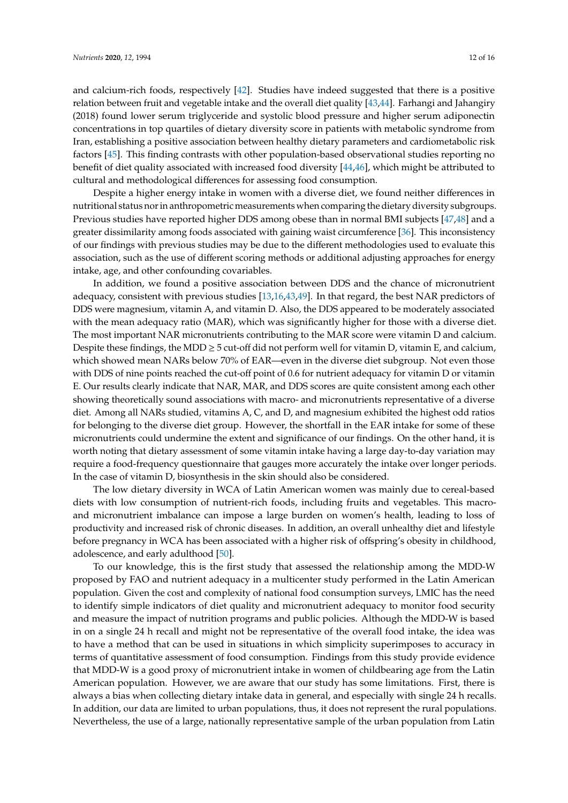and calcium-rich foods, respectively [\[42\]](#page-15-0). Studies have indeed suggested that there is a positive relation between fruit and vegetable intake and the overall diet quality [\[43](#page-15-1)[,44\]](#page-15-2). Farhangi and Jahangiry (2018) found lower serum triglyceride and systolic blood pressure and higher serum adiponectin concentrations in top quartiles of dietary diversity score in patients with metabolic syndrome from Iran, establishing a positive association between healthy dietary parameters and cardiometabolic risk factors [\[45\]](#page-15-3). This finding contrasts with other population-based observational studies reporting no benefit of diet quality associated with increased food diversity [\[44](#page-15-2)[,46\]](#page-15-4), which might be attributed to cultural and methodological differences for assessing food consumption.

Despite a higher energy intake in women with a diverse diet, we found neither differences in nutritional status nor in anthropometric measurements when comparing the dietary diversity subgroups. Previous studies have reported higher DDS among obese than in normal BMI subjects [\[47,](#page-15-5)[48\]](#page-15-6) and a greater dissimilarity among foods associated with gaining waist circumference [\[36\]](#page-14-12). This inconsistency of our findings with previous studies may be due to the different methodologies used to evaluate this association, such as the use of different scoring methods or additional adjusting approaches for energy intake, age, and other confounding covariables.

In addition, we found a positive association between DDS and the chance of micronutrient adequacy, consistent with previous studies [\[13,](#page-13-9)[16,](#page-13-11)[43,](#page-15-1)[49\]](#page-15-7). In that regard, the best NAR predictors of DDS were magnesium, vitamin A, and vitamin D. Also, the DDS appeared to be moderately associated with the mean adequacy ratio (MAR), which was significantly higher for those with a diverse diet. The most important NAR micronutrients contributing to the MAR score were vitamin D and calcium. Despite these findings, the MDD  $\geq$  5 cut-off did not perform well for vitamin D, vitamin E, and calcium, which showed mean NARs below 70% of EAR—even in the diverse diet subgroup. Not even those with DDS of nine points reached the cut-off point of 0.6 for nutrient adequacy for vitamin D or vitamin E. Our results clearly indicate that NAR, MAR, and DDS scores are quite consistent among each other showing theoretically sound associations with macro- and micronutrients representative of a diverse diet. Among all NARs studied, vitamins A, C, and D, and magnesium exhibited the highest odd ratios for belonging to the diverse diet group. However, the shortfall in the EAR intake for some of these micronutrients could undermine the extent and significance of our findings. On the other hand, it is worth noting that dietary assessment of some vitamin intake having a large day-to-day variation may require a food-frequency questionnaire that gauges more accurately the intake over longer periods. In the case of vitamin D, biosynthesis in the skin should also be considered.

The low dietary diversity in WCA of Latin American women was mainly due to cereal-based diets with low consumption of nutrient-rich foods, including fruits and vegetables. This macroand micronutrient imbalance can impose a large burden on women's health, leading to loss of productivity and increased risk of chronic diseases. In addition, an overall unhealthy diet and lifestyle before pregnancy in WCA has been associated with a higher risk of offspring's obesity in childhood, adolescence, and early adulthood [\[50\]](#page-15-8).

To our knowledge, this is the first study that assessed the relationship among the MDD-W proposed by FAO and nutrient adequacy in a multicenter study performed in the Latin American population. Given the cost and complexity of national food consumption surveys, LMIC has the need to identify simple indicators of diet quality and micronutrient adequacy to monitor food security and measure the impact of nutrition programs and public policies. Although the MDD-W is based in on a single 24 h recall and might not be representative of the overall food intake, the idea was to have a method that can be used in situations in which simplicity superimposes to accuracy in terms of quantitative assessment of food consumption. Findings from this study provide evidence that MDD-W is a good proxy of micronutrient intake in women of childbearing age from the Latin American population. However, we are aware that our study has some limitations. First, there is always a bias when collecting dietary intake data in general, and especially with single 24 h recalls. In addition, our data are limited to urban populations, thus, it does not represent the rural populations. Nevertheless, the use of a large, nationally representative sample of the urban population from Latin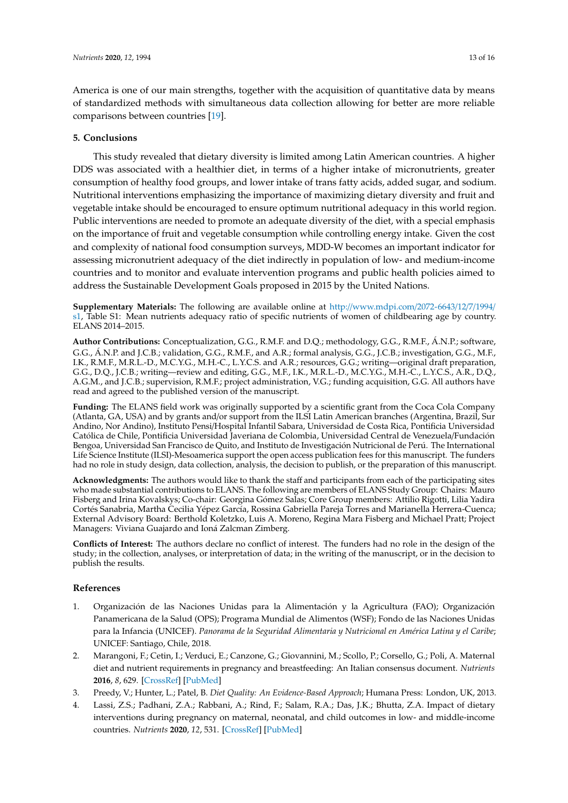America is one of our main strengths, together with the acquisition of quantitative data by means of standardized methods with simultaneous data collection allowing for better are more reliable comparisons between countries [\[19\]](#page-13-14).

# **5. Conclusions**

This study revealed that dietary diversity is limited among Latin American countries. A higher DDS was associated with a healthier diet, in terms of a higher intake of micronutrients, greater consumption of healthy food groups, and lower intake of trans fatty acids, added sugar, and sodium. Nutritional interventions emphasizing the importance of maximizing dietary diversity and fruit and vegetable intake should be encouraged to ensure optimum nutritional adequacy in this world region. Public interventions are needed to promote an adequate diversity of the diet, with a special emphasis on the importance of fruit and vegetable consumption while controlling energy intake. Given the cost and complexity of national food consumption surveys, MDD-W becomes an important indicator for assessing micronutrient adequacy of the diet indirectly in population of low- and medium-income countries and to monitor and evaluate intervention programs and public health policies aimed to address the Sustainable Development Goals proposed in 2015 by the United Nations.

**Supplementary Materials:** The following are available online at http://[www.mdpi.com](http://www.mdpi.com/2072-6643/12/7/1994/s1)/2072-6643/12/7/1994/ [s1,](http://www.mdpi.com/2072-6643/12/7/1994/s1) Table S1: Mean nutrients adequacy ratio of specific nutrients of women of childbearing age by country. ELANS 2014–2015.

**Author Contributions:** Conceptualization, G.G., R.M.F. and D.Q.; methodology, G.G., R.M.F., Á.N.P.; software, G.G., Á.N.P. and J.C.B.; validation, G.G., R.M.F., and A.R.; formal analysis, G.G., J.C.B.; investigation, G.G., M.F., I.K., R.M.F., M.R.L.-D., M.C.Y.G., M.H.-C., L.Y.C.S. and A.R.; resources, G.G.; writing—original draft preparation, G.G., D.Q., J.C.B.; writing—review and editing, G.G., M.F., I.K., M.R.L.-D., M.C.Y.G., M.H.-C., L.Y.C.S., A.R., D.Q., A.G.M., and J.C.B.; supervision, R.M.F.; project administration, V.G.; funding acquisition, G.G. All authors have read and agreed to the published version of the manuscript.

**Funding:** The ELANS field work was originally supported by a scientific grant from the Coca Cola Company (Atlanta, GA, USA) and by grants and/or support from the ILSI Latin American branches (Argentina, Brazil, Sur Andino, Nor Andino), Instituto Pensi/Hospital Infantil Sabara, Universidad de Costa Rica, Pontificia Universidad Católica de Chile, Pontificia Universidad Javeriana de Colombia, Universidad Central de Venezuela/Fundación Bengoa, Universidad San Francisco de Quito, and Instituto de Investigación Nutricional de Perú. The International Life Science Institute (ILSI)-Mesoamerica support the open access publication fees for this manuscript. The funders had no role in study design, data collection, analysis, the decision to publish, or the preparation of this manuscript.

**Acknowledgments:** The authors would like to thank the staff and participants from each of the participating sites who made substantial contributions to ELANS. The following are members of ELANS Study Group: Chairs: Mauro Fisberg and Irina Kovalskys; Co-chair: Georgina Gómez Salas; Core Group members: Attilio Rigotti, Lilia Yadira Cortés Sanabria, Martha Cecilia Yépez García, Rossina Gabriella Pareja Torres and Marianella Herrera-Cuenca; External Advisory Board: Berthold Koletzko, Luis A. Moreno, Regina Mara Fisberg and Michael Pratt; Project Managers: Viviana Guajardo and Ioná Zalcman Zimberg.

**Conflicts of Interest:** The authors declare no conflict of interest. The funders had no role in the design of the study; in the collection, analyses, or interpretation of data; in the writing of the manuscript, or in the decision to publish the results.

# **References**

- <span id="page-12-0"></span>1. Organización de las Naciones Unidas para la Alimentación y la Agricultura (FAO); Organización Panamericana de la Salud (OPS); Programa Mundial de Alimentos (WSF); Fondo de las Naciones Unidas para la Infancia (UNICEF). *Panorama de la Seguridad Alimentaria y Nutricional en América Latina y el Caribe*; UNICEF: Santiago, Chile, 2018.
- <span id="page-12-1"></span>2. Marangoni, F.; Cetin, I.; Verduci, E.; Canzone, G.; Giovannini, M.; Scollo, P.; Corsello, G.; Poli, A. Maternal diet and nutrient requirements in pregnancy and breastfeeding: An Italian consensus document. *Nutrients* **2016**, *8*, 629. [\[CrossRef\]](http://dx.doi.org/10.3390/nu8100629) [\[PubMed\]](http://www.ncbi.nlm.nih.gov/pubmed/27754423)
- <span id="page-12-2"></span>3. Preedy, V.; Hunter, L.; Patel, B. *Diet Quality: An Evidence-Based Approach*; Humana Press: London, UK, 2013.
- <span id="page-12-3"></span>4. Lassi, Z.S.; Padhani, Z.A.; Rabbani, A.; Rind, F.; Salam, R.A.; Das, J.K.; Bhutta, Z.A. Impact of dietary interventions during pregnancy on maternal, neonatal, and child outcomes in low- and middle-income countries. *Nutrients* **2020**, *12*, 531. [\[CrossRef\]](http://dx.doi.org/10.3390/nu12020531) [\[PubMed\]](http://www.ncbi.nlm.nih.gov/pubmed/32092933)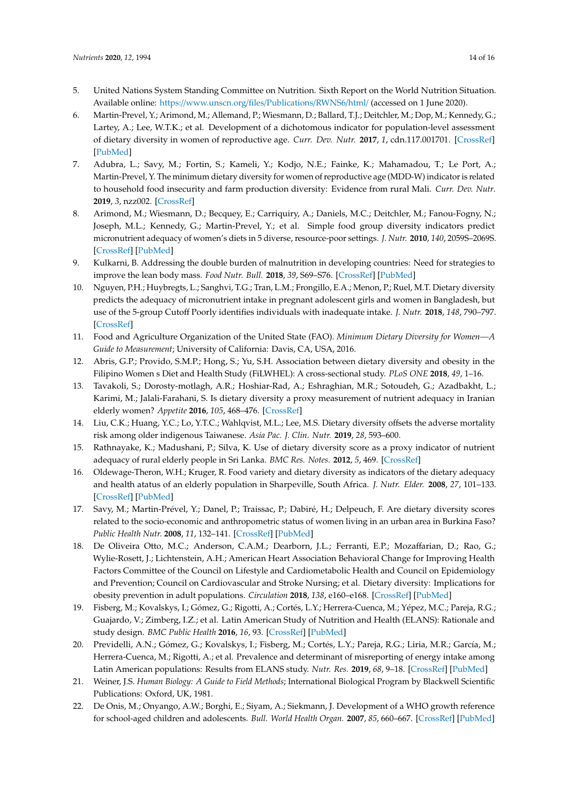- <span id="page-13-0"></span>5. United Nations System Standing Committee on Nutrition. Sixth Report on the World Nutrition Situation. Available online: https://[www.unscn.org](https://www.unscn.org/files/Publications/RWNS6/html/)/files/Publications/RWNS6/html/ (accessed on 1 June 2020).
- <span id="page-13-1"></span>6. Martin-Prevel, Y.; Arimond, M.; Allemand, P.; Wiesmann, D.; Ballard, T.J.; Deitchler, M.; Dop, M.; Kennedy, G.; Lartey, A.; Lee, W.T.K.; et al. Development of a dichotomous indicator for population-level assessment of dietary diversity in women of reproductive age. *Curr. Dev. Nutr.* **2017**, *1*, cdn.117.001701. [\[CrossRef\]](http://dx.doi.org/10.3945/cdn.117.001701) [\[PubMed\]](http://www.ncbi.nlm.nih.gov/pubmed/29955691)
- <span id="page-13-2"></span>7. Adubra, L.; Savy, M.; Fortin, S.; Kameli, Y.; Kodjo, N.E.; Fainke, K.; Mahamadou, T.; Le Port, A.; Martin-Prevel, Y. The minimum dietary diversity for women of reproductive age (MDD-W) indicator is related to household food insecurity and farm production diversity: Evidence from rural Mali. *Curr. Dev. Nutr.* **2019**, *3*, nzz002. [\[CrossRef\]](http://dx.doi.org/10.1093/cdn/nzz002)
- <span id="page-13-3"></span>8. Arimond, M.; Wiesmann, D.; Becquey, E.; Carriquiry, A.; Daniels, M.C.; Deitchler, M.; Fanou-Fogny, N.; Joseph, M.L.; Kennedy, G.; Martin-Prevel, Y.; et al. Simple food group diversity indicators predict micronutrient adequacy of women's diets in 5 diverse, resource-poor settings. *J. Nutr.* **2010**, *140*, 2059S–2069S. [\[CrossRef\]](http://dx.doi.org/10.3945/jn.110.123414) [\[PubMed\]](http://www.ncbi.nlm.nih.gov/pubmed/20881077)
- <span id="page-13-4"></span>9. Kulkarni, B. Addressing the double burden of malnutrition in developing countries: Need for strategies to improve the lean body mass. *Food Nutr. Bull.* **2018**, *39*, S69–S76. [\[CrossRef\]](http://dx.doi.org/10.1177/0379572118768572) [\[PubMed\]](http://www.ncbi.nlm.nih.gov/pubmed/30238797)
- <span id="page-13-5"></span>10. Nguyen, P.H.; Huybregts, L.; Sanghvi, T.G.; Tran, L.M.; Frongillo, E.A.; Menon, P.; Ruel, M.T. Dietary diversity predicts the adequacy of micronutrient intake in pregnant adolescent girls and women in Bangladesh, but use of the 5-group Cutoff Poorly identifies individuals with inadequate intake. *J. Nutr.* **2018**, *148*, 790–797. [\[CrossRef\]](http://dx.doi.org/10.1093/jn/nxy045)
- <span id="page-13-6"></span>11. Food and Agriculture Organization of the United State (FAO). *Minimum Dietary Diversity for Women—A Guide to Measurement*; University of California: Davis, CA, USA, 2016.
- <span id="page-13-7"></span>12. Abris, G.P.; Provido, S.M.P.; Hong, S.; Yu, S.H. Association between dietary diversity and obesity in the Filipino Women s Diet and Health Study (FiLWHEL): A cross-sectional study. *PLoS ONE* **2018**, *49*, 1–16.
- <span id="page-13-9"></span>13. Tavakoli, S.; Dorosty-motlagh, A.R.; Hoshiar-Rad, A.; Eshraghian, M.R.; Sotoudeh, G.; Azadbakht, L.; Karimi, M.; Jalali-Farahani, S. Is dietary diversity a proxy measurement of nutrient adequacy in Iranian elderly women? *Appetite* **2016**, *105*, 468–476. [\[CrossRef\]](http://dx.doi.org/10.1016/j.appet.2016.06.011)
- <span id="page-13-8"></span>14. Liu, C.K.; Huang, Y.C.; Lo, Y.T.C.; Wahlqvist, M.L.; Lee, M.S. Dietary diversity offsets the adverse mortality risk among older indigenous Taiwanese. *Asia Pac. J. Clin. Nutr.* **2019**, *28*, 593–600.
- <span id="page-13-10"></span>15. Rathnayake, K.; Madushani, P.; Silva, K. Use of dietary diversity score as a proxy indicator of nutrient adequacy of rural elderly people in Sri Lanka. *BMC Res. Notes.* **2012**, *5*, 469. [\[CrossRef\]](http://dx.doi.org/10.1186/1756-0500-5-469)
- <span id="page-13-11"></span>16. Oldewage-Theron, W.H.; Kruger, R. Food variety and dietary diversity as indicators of the dietary adequacy and health atatus of an elderly population in Sharpeville, South Africa. *J. Nutr. Elder.* **2008**, *27*, 101–133. [\[CrossRef\]](http://dx.doi.org/10.1080/01639360802060140) [\[PubMed\]](http://www.ncbi.nlm.nih.gov/pubmed/18928193)
- <span id="page-13-12"></span>17. Savy, M.; Martin-Prével, Y.; Danel, P.; Traissac, P.; Dabiré, H.; Delpeuch, F. Are dietary diversity scores related to the socio-economic and anthropometric status of women living in an urban area in Burkina Faso? *Public Health Nutr.* **2008**, *11*, 132–141. [\[CrossRef\]](http://dx.doi.org/10.1017/S1368980007000043) [\[PubMed\]](http://www.ncbi.nlm.nih.gov/pubmed/17565760)
- <span id="page-13-13"></span>18. De Oliveira Otto, M.C.; Anderson, C.A.M.; Dearborn, J.L.; Ferranti, E.P.; Mozaffarian, D.; Rao, G.; Wylie-Rosett, J.; Lichtenstein, A.H.; American Heart Association Behavioral Change for Improving Health Factors Committee of the Council on Lifestyle and Cardiometabolic Health and Council on Epidemiology and Prevention; Council on Cardiovascular and Stroke Nursing; et al. Dietary diversity: Implications for obesity prevention in adult populations. *Circulation* **2018**, *138*, e160–e168. [\[CrossRef\]](http://dx.doi.org/10.1161/CIR.0000000000000595) [\[PubMed\]](http://www.ncbi.nlm.nih.gov/pubmed/30354383)
- <span id="page-13-14"></span>19. Fisberg, M.; Kovalskys, I.; Gómez, G.; Rigotti, A.; Cortés, L.Y.; Herrera-Cuenca, M.; Yépez, M.C.; Pareja, R.G.; Guajardo, V.; Zimberg, I.Z.; et al. Latin American Study of Nutrition and Health (ELANS): Rationale and study design. *BMC Public Health* **2016**, *16*, 93. [\[CrossRef\]](http://dx.doi.org/10.1186/s12889-016-2765-y) [\[PubMed\]](http://www.ncbi.nlm.nih.gov/pubmed/26829928)
- <span id="page-13-15"></span>20. Previdelli, A.N.; Gómez, G.; Kovalskys, I.; Fisberg, M.; Cortés, L.Y.; Pareja, R.G.; Liria, M.R.; García, M.; Herrera-Cuenca, M.; Rigotti, A.; et al. Prevalence and determinant of misreporting of energy intake among Latin American populations: Results from ELANS study. *Nutr. Res.* **2019**, *68*, 9–18. [\[CrossRef\]](http://dx.doi.org/10.1016/j.nutres.2019.05.007) [\[PubMed\]](http://www.ncbi.nlm.nih.gov/pubmed/31247522)
- <span id="page-13-16"></span>21. Weiner, J.S. *Human Biology: A Guide to Field Methods*; International Biological Program by Blackwell Scientific Publications: Oxford, UK, 1981.
- <span id="page-13-17"></span>22. De Onis, M.; Onyango, A.W.; Borghi, E.; Siyam, A.; Siekmann, J. Development of a WHO growth reference for school-aged children and adolescents. *Bull. World Health Organ.* **2007**, *85*, 660–667. [\[CrossRef\]](http://dx.doi.org/10.2471/BLT.07.043497) [\[PubMed\]](http://www.ncbi.nlm.nih.gov/pubmed/18026621)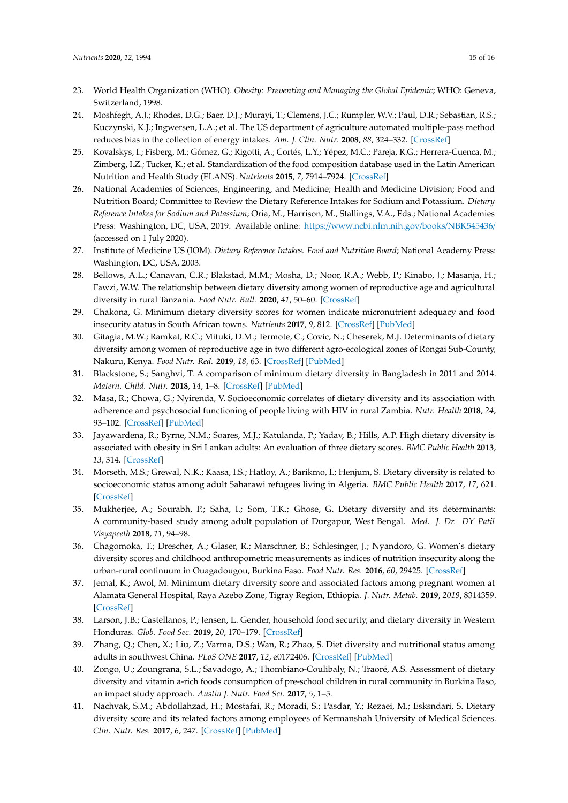- <span id="page-14-0"></span>23. World Health Organization (WHO). *Obesity: Preventing and Managing the Global Epidemic*; WHO: Geneva, Switzerland, 1998.
- <span id="page-14-1"></span>24. Moshfegh, A.J.; Rhodes, D.G.; Baer, D.J.; Murayi, T.; Clemens, J.C.; Rumpler, W.V.; Paul, D.R.; Sebastian, R.S.; Kuczynski, K.J.; Ingwersen, L.A.; et al. The US department of agriculture automated multiple-pass method reduces bias in the collection of energy intakes. *Am. J. Clin. Nutr.* **2008**, *88*, 324–332. [\[CrossRef\]](http://dx.doi.org/10.1093/ajcn/88.2.324)
- <span id="page-14-2"></span>25. Kovalskys, I.; Fisberg, M.; Gómez, G.; Rigotti, A.; Cortés, L.Y.; Yépez, M.C.; Pareja, R.G.; Herrera-Cuenca, M.; Zimberg, I.Z.; Tucker, K.; et al. Standardization of the food composition database used in the Latin American Nutrition and Health Study (ELANS). *Nutrients* **2015**, *7*, 7914–7924. [\[CrossRef\]](http://dx.doi.org/10.3390/nu7095373)
- <span id="page-14-3"></span>26. National Academies of Sciences, Engineering, and Medicine; Health and Medicine Division; Food and Nutrition Board; Committee to Review the Dietary Reference Intakes for Sodium and Potassium. *Dietary Reference Intakes for Sodium and Potassium*; Oria, M., Harrison, M., Stallings, V.A., Eds.; National Academies Press: Washington, DC, USA, 2019. Available online: https://[www.ncbi.nlm.nih.gov](https://www.ncbi.nlm.nih.gov/books/NBK545436/)/books/NBK545436/ (accessed on 1 July 2020).
- <span id="page-14-4"></span>27. Institute of Medicine US (IOM). *Dietary Reference Intakes. Food and Nutrition Board*; National Academy Press: Washington, DC, USA, 2003.
- <span id="page-14-5"></span>28. Bellows, A.L.; Canavan, C.R.; Blakstad, M.M.; Mosha, D.; Noor, R.A.; Webb, P.; Kinabo, J.; Masanja, H.; Fawzi, W.W. The relationship between dietary diversity among women of reproductive age and agricultural diversity in rural Tanzania. *Food Nutr. Bull.* **2020**, *41*, 50–60. [\[CrossRef\]](http://dx.doi.org/10.1177/0379572119892405)
- <span id="page-14-7"></span>29. Chakona, G. Minimum dietary diversity scores for women indicate micronutrient adequacy and food insecurity atatus in South African towns. *Nutrients* **2017**, *9*, 812. [\[CrossRef\]](http://dx.doi.org/10.3390/nu9080812) [\[PubMed\]](http://www.ncbi.nlm.nih.gov/pubmed/28788057)
- <span id="page-14-6"></span>30. Gitagia, M.W.; Ramkat, R.C.; Mituki, D.M.; Termote, C.; Covic, N.; Cheserek, M.J. Determinants of dietary diversity among women of reproductive age in two different agro-ecological zones of Rongai Sub-County, Nakuru, Kenya. *Food Nutr. Red.* **2019**, *18*, 63. [\[CrossRef\]](http://dx.doi.org/10.29219/fnr.v63.1553) [\[PubMed\]](http://www.ncbi.nlm.nih.gov/pubmed/30692880)
- <span id="page-14-8"></span>31. Blackstone, S.; Sanghvi, T. A comparison of minimum dietary diversity in Bangladesh in 2011 and 2014. *Matern. Child. Nutr.* **2018**, *14*, 1–8. [\[CrossRef\]](http://dx.doi.org/10.1111/mcn.12609) [\[PubMed\]](http://www.ncbi.nlm.nih.gov/pubmed/29663657)
- 32. Masa, R.; Chowa, G.; Nyirenda, V. Socioeconomic correlates of dietary diversity and its association with adherence and psychosocial functioning of people living with HIV in rural Zambia. *Nutr. Health* **2018**, *24*, 93–102. [\[CrossRef\]](http://dx.doi.org/10.1177/0260106018761282) [\[PubMed\]](http://www.ncbi.nlm.nih.gov/pubmed/29512411)
- <span id="page-14-11"></span>33. Jayawardena, R.; Byrne, N.M.; Soares, M.J.; Katulanda, P.; Yadav, B.; Hills, A.P. High dietary diversity is associated with obesity in Sri Lankan adults: An evaluation of three dietary scores. *BMC Public Health* **2013**, *13*, 314. [\[CrossRef\]](http://dx.doi.org/10.1186/1471-2458-13-314)
- <span id="page-14-9"></span>34. Morseth, M.S.; Grewal, N.K.; Kaasa, I.S.; Hatloy, A.; Barikmo, I.; Henjum, S. Dietary diversity is related to socioeconomic status among adult Saharawi refugees living in Algeria. *BMC Public Health* **2017**, *17*, 621. [\[CrossRef\]](http://dx.doi.org/10.1186/s12889-017-4527-x)
- <span id="page-14-10"></span>35. Mukherjee, A.; Sourabh, P.; Saha, I.; Som, T.K.; Ghose, G. Dietary diversity and its determinants: A community-based study among adult population of Durgapur, West Bengal. *Med. J. Dr. DY Patil Visyapeeth* **2018**, *11*, 94–98.
- <span id="page-14-12"></span>36. Chagomoka, T.; Drescher, A.; Glaser, R.; Marschner, B.; Schlesinger, J.; Nyandoro, G. Women's dietary diversity scores and childhood anthropometric measurements as indices of nutrition insecurity along the urban-rural continuum in Ouagadougou, Burkina Faso. *Food Nutr. Res.* **2016**, *60*, 29425. [\[CrossRef\]](http://dx.doi.org/10.3402/fnr.v60.29425)
- 37. Jemal, K.; Awol, M. Minimum dietary diversity score and associated factors among pregnant women at Alamata General Hospital, Raya Azebo Zone, Tigray Region, Ethiopia. *J. Nutr. Metab.* **2019**, *2019*, 8314359. [\[CrossRef\]](http://dx.doi.org/10.1155/2019/8314359)
- <span id="page-14-13"></span>38. Larson, J.B.; Castellanos, P.; Jensen, L. Gender, household food security, and dietary diversity in Western Honduras. *Glob. Food Sec.* **2019**, *20*, 170–179. [\[CrossRef\]](http://dx.doi.org/10.1016/j.gfs.2019.01.005)
- <span id="page-14-14"></span>39. Zhang, Q.; Chen, X.; Liu, Z.; Varma, D.S.; Wan, R.; Zhao, S. Diet diversity and nutritional status among adults in southwest China. *PLoS ONE* **2017**, *12*, e0172406. [\[CrossRef\]](http://dx.doi.org/10.1371/journal.pone.0172406) [\[PubMed\]](http://www.ncbi.nlm.nih.gov/pubmed/28231308)
- <span id="page-14-15"></span>40. Zongo, U.; Zoungrana, S.L.; Savadogo, A.; Thombiano-Coulibaly, N.; Traoré, A.S. Assessment of dietary diversity and vitamin a-rich foods consumption of pre-school children in rural community in Burkina Faso, an impact study approach. *Austin J. Nutr. Food Sci.* **2017**, *5*, 1–5.
- <span id="page-14-16"></span>41. Nachvak, S.M.; Abdollahzad, H.; Mostafai, R.; Moradi, S.; Pasdar, Y.; Rezaei, M.; Esksndari, S. Dietary diversity score and its related factors among employees of Kermanshah University of Medical Sciences. *Clin. Nutr. Res.* **2017**, *6*, 247. [\[CrossRef\]](http://dx.doi.org/10.7762/cnr.2017.6.4.247) [\[PubMed\]](http://www.ncbi.nlm.nih.gov/pubmed/29124045)